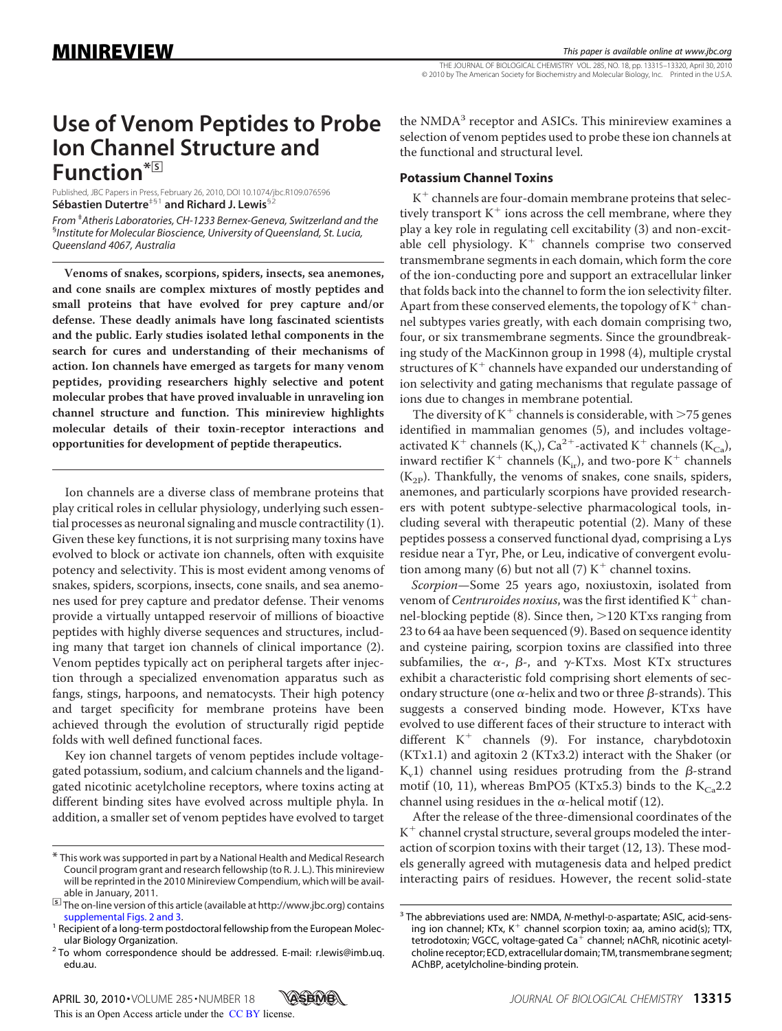THE JOURNAL OF BIOLOGICAL CHEMISTRY VOL. 285, NO. 18, pp. 13315–13320, April 30, 2010 © 2010 by The American Society for Biochemistry and Molecular Biology, Inc. Printed in the U.S.A.

# **Use of Venom Peptides to Probe Ion Channel Structure and Function\***□**<sup>S</sup>**

Published, JBC Papers in Press, February 26, 2010, DOI 10.1074/jbc.R109.076596 **Se´bastien Dutertre**‡§1 **and Richard J. Lewis**§2

*From* ‡ *Atheris Laboratories, CH-1233 Bernex-Geneva, Switzerland and the* § *Institute for Molecular Bioscience, University of Queensland, St. Lucia, Queensland 4067, Australia*

**Venoms of snakes, scorpions, spiders, insects, sea anemones, and cone snails are complex mixtures of mostly peptides and small proteins that have evolved for prey capture and/or defense. These deadly animals have long fascinated scientists and the public. Early studies isolated lethal components in the search for cures and understanding of their mechanisms of action. Ion channels have emerged as targets for many venom peptides, providing researchers highly selective and potent molecular probes that have proved invaluable in unraveling ion channel structure and function. This minireview highlights molecular details of their toxin-receptor interactions and opportunities for development of peptide therapeutics.**

Ion channels are a diverse class of membrane proteins that play critical roles in cellular physiology, underlying such essential processes as neuronal signaling and muscle contractility (1). Given these key functions, it is not surprising many toxins have evolved to block or activate ion channels, often with exquisite potency and selectivity. This is most evident among venoms of snakes, spiders, scorpions, insects, cone snails, and sea anemones used for prey capture and predator defense. Their venoms provide a virtually untapped reservoir of millions of bioactive peptides with highly diverse sequences and structures, including many that target ion channels of clinical importance (2). Venom peptides typically act on peripheral targets after injection through a specialized envenomation apparatus such as fangs, stings, harpoons, and nematocysts. Their high potency and target specificity for membrane proteins have been achieved through the evolution of structurally rigid peptide folds with well defined functional faces.

Key ion channel targets of venom peptides include voltagegated potassium, sodium, and calcium channels and the ligandgated nicotinic acetylcholine receptors, where toxins acting at different binding sites have evolved across multiple phyla. In addition, a smaller set of venom peptides have evolved to target

the NMDA<sup>3</sup> receptor and ASICs. This minireview examines a selection of venom peptides used to probe these ion channels at the functional and structural level.

## **Potassium Channel Toxins**

 $K^+$  channels are four-domain membrane proteins that selectively transport  $K^+$  ions across the cell membrane, where they play a key role in regulating cell excitability (3) and non-excitable cell physiology.  $K^+$  channels comprise two conserved transmembrane segments in each domain, which form the core of the ion-conducting pore and support an extracellular linker that folds back into the channel to form the ion selectivity filter. Apart from these conserved elements, the topology of  $K^+$  channel subtypes varies greatly, with each domain comprising two, four, or six transmembrane segments. Since the groundbreaking study of the MacKinnon group in 1998 (4), multiple crystal structures of  $K^+$  channels have expanded our understanding of ion selectivity and gating mechanisms that regulate passage of ions due to changes in membrane potential.

The diversity of  $K^+$  channels is considerable, with  $>75$  genes identified in mammalian genomes (5), and includes voltageactivated K<sup>+</sup> channels (K<sub>v</sub>), Ca<sup>2+</sup>-activated K<sup>+</sup> channels (K<sub>Ca</sub>), inward rectifier K<sup>+</sup> channels ( $K<sub>ir</sub>$ ), and two-pore K<sup>+</sup> channels  $(K_{2p})$ . Thankfully, the venoms of snakes, cone snails, spiders, anemones, and particularly scorpions have provided researchers with potent subtype-selective pharmacological tools, including several with therapeutic potential (2). Many of these peptides possess a conserved functional dyad, comprising a Lys residue near a Tyr, Phe, or Leu, indicative of convergent evolution among many (6) but not all (7)  $K^+$  channel toxins.

*Scorpion*—Some 25 years ago, noxiustoxin, isolated from venom of *Centruroides noxius*, was the first identified K<sup>+</sup> channel-blocking peptide (8). Since then, >120 KTxs ranging from 23 to 64 aa have been sequenced (9). Based on sequence identity and cysteine pairing, scorpion toxins are classified into three subfamilies, the  $\alpha$ -,  $\beta$ -, and  $\gamma$ -KTxs. Most KTx structures exhibit a characteristic fold comprising short elements of secondary structure (one  $\alpha$ -helix and two or three  $\beta$ -strands). This suggests a conserved binding mode. However, KTxs have evolved to use different faces of their structure to interact with different  $K^+$  channels (9). For instance, charybdotoxin (KTx1.1) and agitoxin 2 (KTx3.2) interact with the Shaker (or  $K_v 1$ ) channel using residues protruding from the  $\beta$ -strand motif (10, 11), whereas BmPO5 (KTx5.3) binds to the  $K_{Cs}$ 2.2 channel using residues in the  $\alpha$ -helical motif (12).

After the release of the three-dimensional coordinates of the  $K<sup>+</sup>$  channel crystal structure, several groups modeled the interaction of scorpion toxins with their target (12, 13). These models generally agreed with mutagenesis data and helped predict interacting pairs of residues. However, the recent solid-state

<sup>\*</sup> This work was supported in part by a National Health and Medical Research Council program grant and research fellowship (to R. J. L.). This minireview will be reprinted in the 2010 Minireview Compendium, which will be avail-

able in January, 2011.<br><sup><u>5</u>]</sup> The on-line version of this article (available at http://www.jbc.org) contains<br>supplemental Figs. 2 and 3.

<sup>&</sup>lt;sup>1</sup> Recipient of a long-term postdoctoral fellowship from the European Molecular Biology Organization.<br><sup>2</sup> To whom correspondence should be addressed. E-mail: r.lewis@imb.uq.

edu.au.

<sup>&</sup>lt;sup>3</sup> The abbreviations used are: NMDA, N-methyl-D-aspartate; ASIC, acid-sensing ion channel; KTx, K<sup>+</sup> channel scorpion toxin; aa, amino acid(s); TTX, tetrodotoxin; VGCC, voltage-gated  $Ca<sup>+</sup>$  channel; nAChR, nicotinic acetylcholine receptor; ECD, extracellular domain; TM, transmembrane segment; AChBP, acetylcholine-binding protein.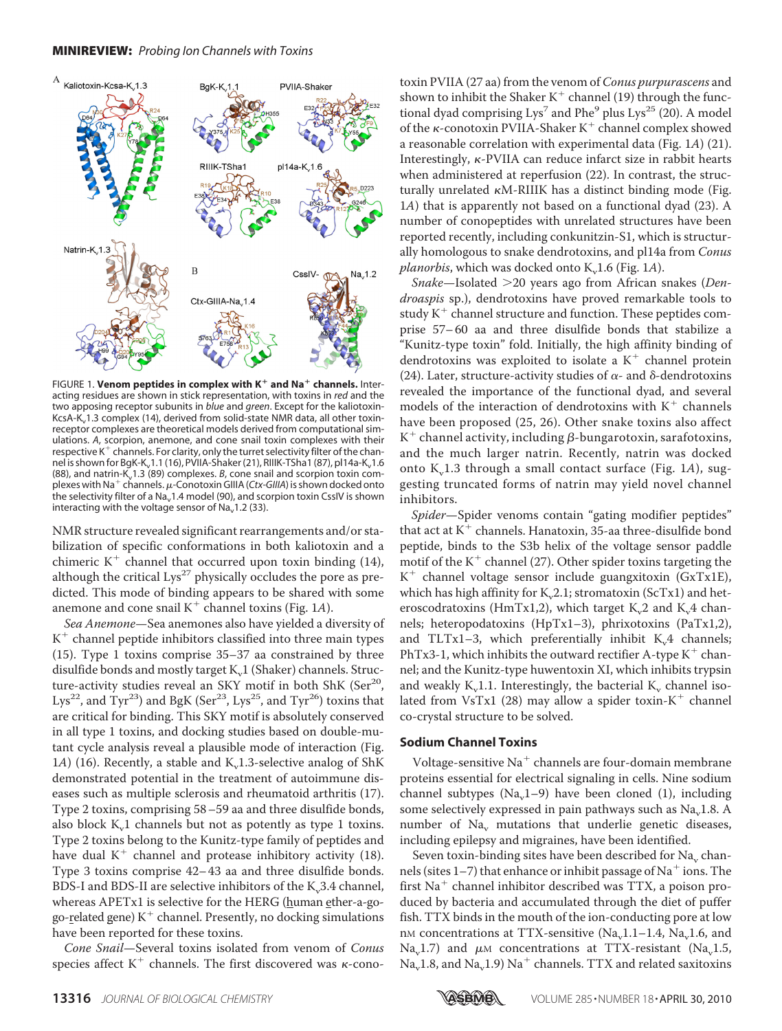

FIGURE 1. Venom peptides in complex with K<sup>+</sup> and Na<sup>+</sup> channels. Interacting residues are shown in stick representation, with toxins in *red* and the two apposing receptor subunits in *blue* and *green*. Except for the kaliotoxin-KcsA-K<sub>v</sub>1.3 complex (14), derived from solid-state NMR data, all other toxinreceptor complexes are theoretical models derived from computational simulations. *A*, scorpion, anemone, and cone snail toxin complexes with their respective  $K^+$  channels. For clarity, only the turret selectivity filter of the channel is shown for BgK-K<sub>v</sub>1.1 (16), PVIIA-Shaker (21), RIIIK-TSha1 (87), pl14a-K<sub>v</sub>1.6 (88), and natrin-K<sub>v</sub>1.3 (89) complexes. *B*, cone snail and scorpion toxin complexes with Na<sup>+</sup> channels.  $\mu$ -Conotoxin GIIIA (*Ctx-GIIIA*) is shown docked onto the selectivity filter of a Na<sub>v</sub>1.4 model (90), and scorpion toxin CssIV is shown interacting with the voltage sensor of Na<sub>v</sub>1.2 (33).

NMR structure revealed significant rearrangements and/or stabilization of specific conformations in both kaliotoxin and a chimeric  $K^+$  channel that occurred upon toxin binding (14), although the critical  $Lys^{27}$  physically occludes the pore as predicted. This mode of binding appears to be shared with some anemone and cone snail  $K^+$  channel toxins (Fig. 1A).

*Sea Anemone*—Sea anemones also have yielded a diversity of  $K<sup>+</sup>$  channel peptide inhibitors classified into three main types (15). Type 1 toxins comprise 35–37 aa constrained by three disulfide bonds and mostly target K<sub>v</sub>1 (Shaker) channels. Structure-activity studies reveal an SKY motif in both ShK (Ser<sup>20</sup>, Lys<sup>22</sup>, and Tyr<sup>23</sup>) and BgK (Ser<sup>23</sup>, Lys<sup>25</sup>, and Tyr<sup>26</sup>) toxins that are critical for binding. This SKY motif is absolutely conserved in all type 1 toxins, and docking studies based on double-mutant cycle analysis reveal a plausible mode of interaction (Fig.  $1A)$  (16). Recently, a stable and K<sub>v</sub>1.3-selective analog of ShK demonstrated potential in the treatment of autoimmune diseases such as multiple sclerosis and rheumatoid arthritis (17). Type 2 toxins, comprising 58–59 aa and three disulfide bonds, also block  $K_v 1$  channels but not as potently as type 1 toxins. Type 2 toxins belong to the Kunitz-type family of peptides and have dual  $K^+$  channel and protease inhibitory activity (18). Type 3 toxins comprise 42– 43 aa and three disulfide bonds. BDS-I and BDS-II are selective inhibitors of the K<sub>v</sub>3.4 channel, whereas APETx1 is selective for the HERG (human ether-a-gogo-related gene)  $K^+$  channel. Presently, no docking simulations have been reported for these toxins.

*Cone Snail*—Several toxins isolated from venom of *Conus* species affect  $K^+$  channels. The first discovered was  $\kappa$ -conotoxin PVIIA (27 aa) from the venom of *Conus purpurascens* and shown to inhibit the Shaker K<sup>+</sup> channel (19) through the functional dyad comprising  $Lys^7$  and Phe<sup>9</sup> plus  $Lys^{25}$  (20). A model of the  $\kappa$ -conotoxin PVIIA-Shaker K<sup>+</sup> channel complex showed a reasonable correlation with experimental data (Fig. 1*A*) (21). Interestingly,  $\kappa$ -PVIIA can reduce infarct size in rabbit hearts when administered at reperfusion (22). In contrast, the structurally unrelated  $\kappa$ M-RIIIK has a distinct binding mode (Fig. 1*A*) that is apparently not based on a functional dyad (23). A number of conopeptides with unrelated structures have been reported recently, including conkunitzin-S1, which is structurally homologous to snake dendrotoxins, and pl14a from *Conus planorbis*, which was docked onto  $K_u$ 1.6 (Fig. 1*A*).

Snake-Isolated > 20 years ago from African snakes (Den*droaspis* sp.), dendrotoxins have proved remarkable tools to study  $K^+$  channel structure and function. These peptides comprise 57– 60 aa and three disulfide bonds that stabilize a "Kunitz-type toxin" fold. Initially, the high affinity binding of dendrotoxins was exploited to isolate a  $K^+$  channel protein (24). Later, structure-activity studies of  $\alpha$ - and  $\delta$ -dendrotoxins revealed the importance of the functional dyad, and several models of the interaction of dendrotoxins with  $K^+$  channels have been proposed (25, 26). Other snake toxins also affect K<sup>+</sup> channel activity, including  $\beta$ -bungarotoxin, sarafotoxins, and the much larger natrin. Recently, natrin was docked onto K<sub>v</sub>1.3 through a small contact surface (Fig. 1A), suggesting truncated forms of natrin may yield novel channel inhibitors.

*Spider*—Spider venoms contain "gating modifier peptides" that act at  $K^+$  channels. Hanatoxin, 35-aa three-disulfide bond peptide, binds to the S3b helix of the voltage sensor paddle motif of the  $K^+$  channel (27). Other spider toxins targeting the  $K^+$  channel voltage sensor include guangxitoxin (GxTx1E), which has high affinity for  $K_v2.1$ ; stromatoxin (ScTx1) and heteroscodratoxins (HmTx1,2), which target K $\alpha$ 2 and K $\beta$ 4 channels; heteropodatoxins (HpTx1–3), phrixotoxins (PaTx1,2), and TLTx1-3, which preferentially inhibit  $K_v4$  channels; PhTx3-1, which inhibits the outward rectifier A-type  $K^+$  channel; and the Kunitz-type huwentoxin XI, which inhibits trypsin and weakly K<sub>v</sub>1.1. Interestingly, the bacterial K<sub>v</sub> channel isolated from VsTx1 (28) may allow a spider toxin- $K^+$  channel co-crystal structure to be solved.

# **Sodium Channel Toxins**

Voltage-sensitive Na<sup>+</sup> channels are four-domain membrane proteins essential for electrical signaling in cells. Nine sodium channel subtypes  $(Na, 1-9)$  have been cloned (1), including some selectively expressed in pain pathways such as Na<sub>v</sub>1.8. A number of Na<sub>v</sub> mutations that underlie genetic diseases, including epilepsy and migraines, have been identified.

Seven toxin-binding sites have been described for  $Na<sub>v</sub>$  channels (sites  $1-7$ ) that enhance or inhibit passage of Na<sup>+</sup> ions. The first  $Na<sup>+</sup>$  channel inhibitor described was TTX, a poison produced by bacteria and accumulated through the diet of puffer fish. TTX binds in the mouth of the ion-conducting pore at low nM concentrations at TTX-sensitive  $(Na_1, 1, -1.4, Na_1, 1.6,$  and Na<sub>v</sub>1.7) and  $\mu$ M concentrations at TTX-resistant (Na<sub>v</sub>1.5,  $Na<sub>v</sub>1.8$ , and  $Na<sub>v</sub>1.9$ )  $Na<sup>+</sup>$  channels. TTX and related saxitoxins

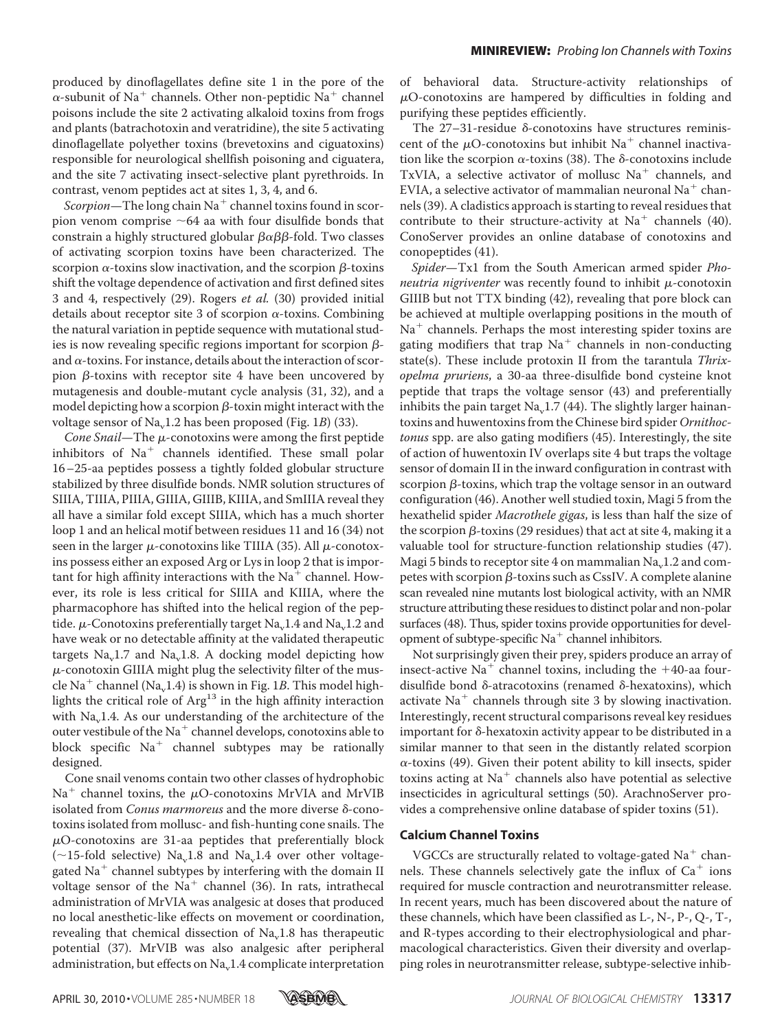produced by dinoflagellates define site 1 in the pore of the  $\alpha$ -subunit of Na<sup>+</sup> channels. Other non-peptidic Na<sup>+</sup> channel poisons include the site 2 activating alkaloid toxins from frogs and plants (batrachotoxin and veratridine), the site 5 activating dinoflagellate polyether toxins (brevetoxins and ciguatoxins) responsible for neurological shellfish poisoning and ciguatera, and the site 7 activating insect-selective plant pyrethroids. In contrast, venom peptides act at sites 1, 3, 4, and 6.

*Scorpion*—The long chain  $Na<sup>+</sup>$  channel toxins found in scorpion venom comprise  $\sim$  64 aa with four disulfide bonds that constrain a highly structured globular  $\beta \alpha \beta \beta$ -fold. Two classes of activating scorpion toxins have been characterized. The scorpion  $\alpha$ -toxins slow inactivation, and the scorpion  $\beta$ -toxins shift the voltage dependence of activation and first defined sites 3 and 4, respectively (29). Rogers *et al.* (30) provided initial details about receptor site 3 of scorpion  $\alpha$ -toxins. Combining the natural variation in peptide sequence with mutational studies is now revealing specific regions important for scorpion  $\beta$ and  $\alpha$ -toxins. For instance, details about the interaction of scorpion  $\beta$ -toxins with receptor site 4 have been uncovered by mutagenesis and double-mutant cycle analysis (31, 32), and a model depicting how a scorpion  $\beta$ -toxin might interact with the voltage sensor of Na<sub>v</sub>1.2 has been proposed (Fig. 1*B*) (33).

*Cone Snail*—The  $\mu$ -conotoxins were among the first peptide inhibitors of  $Na<sup>+</sup>$  channels identified. These small polar 16–25-aa peptides possess a tightly folded globular structure stabilized by three disulfide bonds. NMR solution structures of SIIIA, TIIIA, PIIIA, GIIIA, GIIIB, KIIIA, and SmIIIA reveal they all have a similar fold except SIIIA, which has a much shorter loop 1 and an helical motif between residues 11 and 16 (34) not seen in the larger  $\mu$ -conotoxins like TIIIA (35). All  $\mu$ -conotoxins possess either an exposed Arg or Lys in loop 2 that is important for high affinity interactions with the  $Na<sup>+</sup>$  channel. However, its role is less critical for SIIIA and KIIIA, where the pharmacophore has shifted into the helical region of the peptide.  $\mu$ -Conotoxins preferentially target Na<sub>v</sub>1.4 and Na<sub>v</sub>1.2 and have weak or no detectable affinity at the validated therapeutic targets  $Na<sub>v</sub>1.7$  and  $Na<sub>v</sub>1.8$ . A docking model depicting how  $\mu$ -conotoxin GIIIA might plug the selectivity filter of the muscle Na<sup>+</sup> channel (Na<sub>v</sub>1.4) is shown in Fig. 1*B*. This model highlights the critical role of Arg<sup>13</sup> in the high affinity interaction with Na<sub>v</sub>1.4. As our understanding of the architecture of the outer vestibule of the  $Na<sup>+</sup>$  channel develops, conotoxins able to block specific  $Na<sup>+</sup>$  channel subtypes may be rationally designed.

Cone snail venoms contain two other classes of hydrophobic  $Na<sup>+</sup>$  channel toxins, the  $\mu$ O-conotoxins MrVIA and MrVIB isolated from *Conus marmoreus* and the more diverse δ-conotoxins isolated from mollusc- and fish-hunting cone snails. The  $\mu$ O-conotoxins are 31-aa peptides that preferentially block  $(\sim 15$ -fold selective) Na<sub>v</sub>1.8 and Na<sub>v</sub>1.4 over other voltagegated  $Na<sup>+</sup>$  channel subtypes by interfering with the domain II voltage sensor of the  $Na<sup>+</sup>$  channel (36). In rats, intrathecal administration of MrVIA was analgesic at doses that produced no local anesthetic-like effects on movement or coordination, revealing that chemical dissection of Na<sub>v</sub>1.8 has therapeutic potential (37). MrVIB was also analgesic after peripheral administration, but effects on  $Na<sub>v</sub>1.4$  complicate interpretation

of behavioral data. Structure-activity relationships of  $\mu$ O-conotoxins are hampered by difficulties in folding and purifying these peptides efficiently.

The  $27-31$ -residue  $\delta$ -conotoxins have structures reminiscent of the  $\mu$ O-conotoxins but inhibit Na<sup>+</sup> channel inactivation like the scorpion  $\alpha$ -toxins (38). The  $\delta$ -conotoxins include TxVIA, a selective activator of mollusc  $Na<sup>+</sup>$  channels, and EVIA, a selective activator of mammalian neuronal  $Na<sup>+</sup>$  channels (39). A cladistics approach is starting to reveal residues that contribute to their structure-activity at  $Na<sup>+</sup>$  channels (40). ConoServer provides an online database of conotoxins and conopeptides (41).

*Spider*—Tx1 from the South American armed spider *Phoneutria nigriventer* was recently found to inhibit  $\mu$ -conotoxin GIIIB but not TTX binding (42), revealing that pore block can be achieved at multiple overlapping positions in the mouth of  $Na<sup>+</sup>$  channels. Perhaps the most interesting spider toxins are gating modifiers that trap  $Na<sup>+</sup>$  channels in non-conducting state(s). These include protoxin II from the tarantula *Thrixopelma pruriens*, a 30-aa three-disulfide bond cysteine knot peptide that traps the voltage sensor (43) and preferentially inhibits the pain target  $Na<sub>v</sub>1.7$  (44). The slightly larger hainantoxins and huwentoxins from the Chinese bird spider *Ornithoctonus* spp. are also gating modifiers (45). Interestingly, the site of action of huwentoxin IV overlaps site 4 but traps the voltage sensor of domain II in the inward configuration in contrast with  $s$ corpion  $\beta$ -toxins, which trap the voltage sensor in an outward configuration (46). Another well studied toxin, Magi 5 from the hexathelid spider *Macrothele gigas*, is less than half the size of the scorpion  $\beta$ -toxins (29 residues) that act at site 4, making it a valuable tool for structure-function relationship studies (47). Magi 5 binds to receptor site 4 on mammalian  $Na<sub>v</sub>1.2$  and competes with scorpion  $\beta$ -toxins such as CssIV. A complete alanine scan revealed nine mutants lost biological activity, with an NMR structure attributing these residues to distinct polar and non-polar surfaces (48). Thus, spider toxins provide opportunities for development of subtype-specific  $Na<sup>+</sup>$  channel inhibitors.

Not surprisingly given their prey, spiders produce an array of insect-active Na<sup>+</sup> channel toxins, including the  $+40$ -aa fourdisulfide bond  $\delta$ -atracotoxins (renamed  $\delta$ -hexatoxins), which activate  $Na<sup>+</sup>$  channels through site 3 by slowing inactivation. Interestingly, recent structural comparisons reveal key residues important for  $\delta$ -hexatoxin activity appear to be distributed in a similar manner to that seen in the distantly related scorpion  $\alpha$ -toxins (49). Given their potent ability to kill insects, spider toxins acting at  $Na<sup>+</sup>$  channels also have potential as selective insecticides in agricultural settings (50). ArachnoServer provides a comprehensive online database of spider toxins (51).

# **Calcium Channel Toxins**

VGCCs are structurally related to voltage-gated  $Na<sup>+</sup>$  channels. These channels selectively gate the influx of  $Ca<sup>+</sup>$  ions required for muscle contraction and neurotransmitter release. In recent years, much has been discovered about the nature of these channels, which have been classified as L-, N-, P-, Q-, T-, and R-types according to their electrophysiological and pharmacological characteristics. Given their diversity and overlapping roles in neurotransmitter release, subtype-selective inhib-

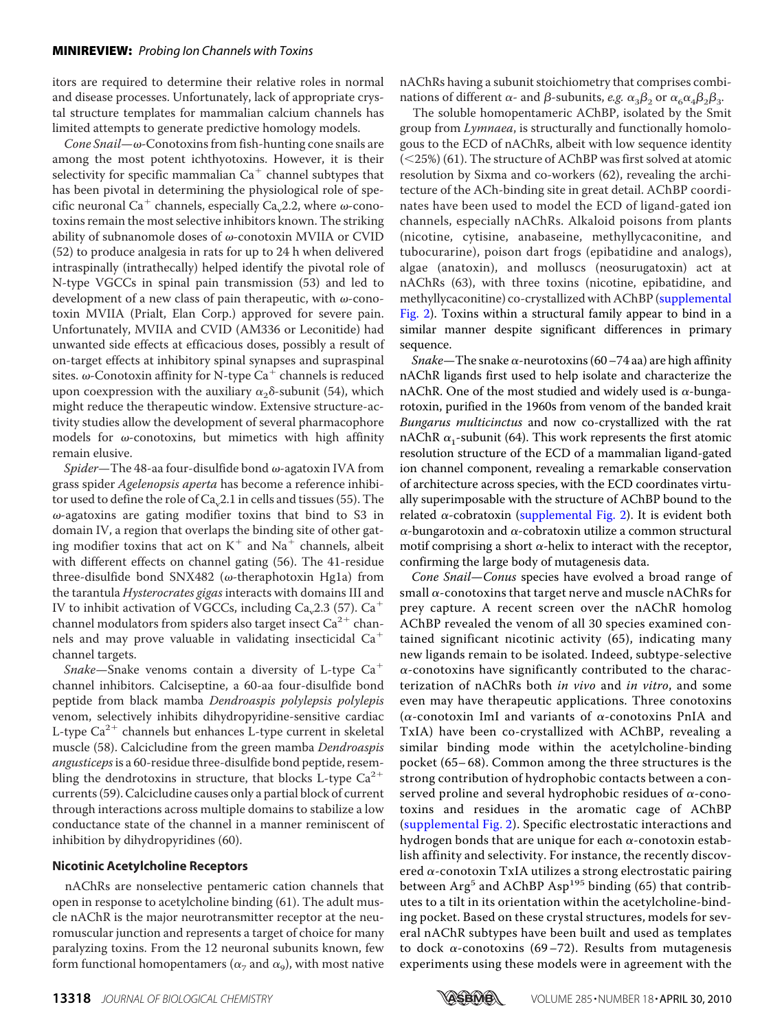itors are required to determine their relative roles in normal and disease processes. Unfortunately, lack of appropriate crystal structure templates for mammalian calcium channels has limited attempts to generate predictive homology models.

*Cone Snail—* $\omega$ -Conotoxins from fish-hunting cone snails are among the most potent ichthyotoxins. However, it is their selectivity for specific mammalian  $Ca^+$  channel subtypes that has been pivotal in determining the physiological role of specific neuronal Ca<sup>+</sup> channels, especially Ca<sub>y</sub>2.2, where  $\omega$ -conotoxins remain the most selective inhibitors known. The striking ability of subnanomole doses of  $\omega$ -conotoxin MVIIA or CVID (52) to produce analgesia in rats for up to 24 h when delivered intraspinally (intrathecally) helped identify the pivotal role of N-type VGCCs in spinal pain transmission (53) and led to development of a new class of pain therapeutic, with  $\omega$ -conotoxin MVIIA (Prialt, Elan Corp.) approved for severe pain. Unfortunately, MVIIA and CVID (AM336 or Leconitide) had unwanted side effects at efficacious doses, possibly a result of on-target effects at inhibitory spinal synapses and supraspinal sites.  $\omega$ -Conotoxin affinity for N-type Ca<sup>+</sup> channels is reduced upon coexpression with the auxiliary  $\alpha_2\delta$ -subunit (54), which might reduce the therapeutic window. Extensive structure-activity studies allow the development of several pharmacophore models for  $\omega$ -conotoxins, but mimetics with high affinity remain elusive.

 $Spider$ —The 48-aa four-disulfide bond  $\omega$ -agatoxin IVA from grass spider *Agelenopsis aperta* has become a reference inhibitor used to define the role of  $Ca<sub>v</sub>2.1$  in cells and tissues (55). The  $\omega$ -agatoxins are gating modifier toxins that bind to S3 in domain IV, a region that overlaps the binding site of other gating modifier toxins that act on  $K^+$  and Na<sup>+</sup> channels, albeit with different effects on channel gating (56). The 41-residue three-disulfide bond SNX482 ( $\omega$ -theraphotoxin Hg1a) from the tarantula *Hysterocrates gigas* interacts with domains III and IV to inhibit activation of VGCCs, including Ca<sub>n</sub> 2.3 (57). Ca<sup>+</sup> channel modulators from spiders also target insect  $Ca^{2+}$  channels and may prove valuable in validating insecticidal  $Ca<sup>+</sup>$ channel targets.

*Snake*—Snake venoms contain a diversity of L-type Ca channel inhibitors. Calciseptine, a 60-aa four-disulfide bond peptide from black mamba *Dendroaspis polylepsis polylepis* venom, selectively inhibits dihydropyridine-sensitive cardiac L-type  $Ca^{2+}$  channels but enhances L-type current in skeletal muscle (58). Calcicludine from the green mamba *Dendroaspis angusticeps*is a 60-residue three-disulfide bond peptide, resembling the dendrotoxins in structure, that blocks L-type  $Ca^{2+}$ currents (59). Calcicludine causes only a partial block of current through interactions across multiple domains to stabilize a low conductance state of the channel in a manner reminiscent of inhibition by dihydropyridines (60).

## **Nicotinic Acetylcholine Receptors**

nAChRs are nonselective pentameric cation channels that open in response to acetylcholine binding (61). The adult muscle nAChR is the major neurotransmitter receptor at the neuromuscular junction and represents a target of choice for many paralyzing toxins. From the 12 neuronal subunits known, few form functional homopentamers ( $\alpha$ <sub>7</sub> and  $\alpha$ <sub>9</sub>), with most native nAChRs having a subunit stoichiometry that comprises combinations of different  $\alpha$ - and  $\beta$ -subunits, *e.g.*  $\alpha_3\beta_2$  or  $\alpha_6\alpha_4\beta_2\beta_3$ .

The soluble homopentameric AChBP, isolated by the Smit group from *Lymnaea*, is structurally and functionally homologous to the ECD of nAChRs, albeit with low sequence identity (25%) (61). The structure of AChBP was first solved at atomic resolution by Sixma and co-workers (62), revealing the architecture of the ACh-binding site in great detail. AChBP coordinates have been used to model the ECD of ligand-gated ion channels, especially nAChRs. Alkaloid poisons from plants (nicotine, cytisine, anabaseine, methyllycaconitine, and tubocurarine), poison dart frogs (epibatidine and analogs), algae (anatoxin), and molluscs (neosurugatoxin) act at nAChRs (63), with three toxins (nicotine, epibatidine, and methyllycaconitine) co-crystallized with AChBP [\(supplemental](https://doi.org/10.1074/jbc.R109.076596) [Fig. 2\)](https://doi.org/10.1074/jbc.R109.076596). Toxins within a structural family appear to bind in a similar manner despite significant differences in primary sequence.

*Snake*—The snake  $\alpha$ -neurotoxins (60–74 aa) are high affinity nAChR ligands first used to help isolate and characterize the nAChR. One of the most studied and widely used is  $\alpha$ -bungarotoxin, purified in the 1960s from venom of the banded krait *Bungarus multicinctus* and now co-crystallized with the rat nAChR  $\alpha_1$ -subunit (64). This work represents the first atomic resolution structure of the ECD of a mammalian ligand-gated ion channel component, revealing a remarkable conservation of architecture across species, with the ECD coordinates virtually superimposable with the structure of AChBP bound to the related  $\alpha$ -cobratoxin [\(supplemental Fig. 2\)](https://doi.org/10.1074/jbc.R109.076596). It is evident both  $\alpha$ -bungarotoxin and  $\alpha$ -cobratoxin utilize a common structural motif comprising a short  $\alpha$ -helix to interact with the receptor, confirming the large body of mutagenesis data.

*Cone Snail*—*Conus* species have evolved a broad range of small  $\alpha$ -conotoxins that target nerve and muscle nAChRs for prey capture. A recent screen over the nAChR homolog AChBP revealed the venom of all 30 species examined contained significant nicotinic activity (65), indicating many new ligands remain to be isolated. Indeed, subtype-selective  $\alpha$ -conotoxins have significantly contributed to the characterization of nAChRs both *in vivo* and *in vitro*, and some even may have therapeutic applications. Three conotoxins ( $\alpha$ -conotoxin ImI and variants of  $\alpha$ -conotoxins PnIA and TxIA) have been co-crystallized with AChBP, revealing a similar binding mode within the acetylcholine-binding pocket (65– 68). Common among the three structures is the strong contribution of hydrophobic contacts between a conserved proline and several hydrophobic residues of  $\alpha$ -conotoxins and residues in the aromatic cage of AChBP [\(supplemental Fig. 2\)](https://doi.org/10.1074/jbc.R109.076596). Specific electrostatic interactions and hydrogen bonds that are unique for each  $\alpha$ -conotoxin establish affinity and selectivity. For instance, the recently discovered  $\alpha$ -conotoxin TxIA utilizes a strong electrostatic pairing between Arg<sup>5</sup> and AChBP Asp<sup>195</sup> binding (65) that contributes to a tilt in its orientation within the acetylcholine-binding pocket. Based on these crystal structures, models for several nAChR subtypes have been built and used as templates to dock  $\alpha$ -conotoxins (69–72). Results from mutagenesis experiments using these models were in agreement with the

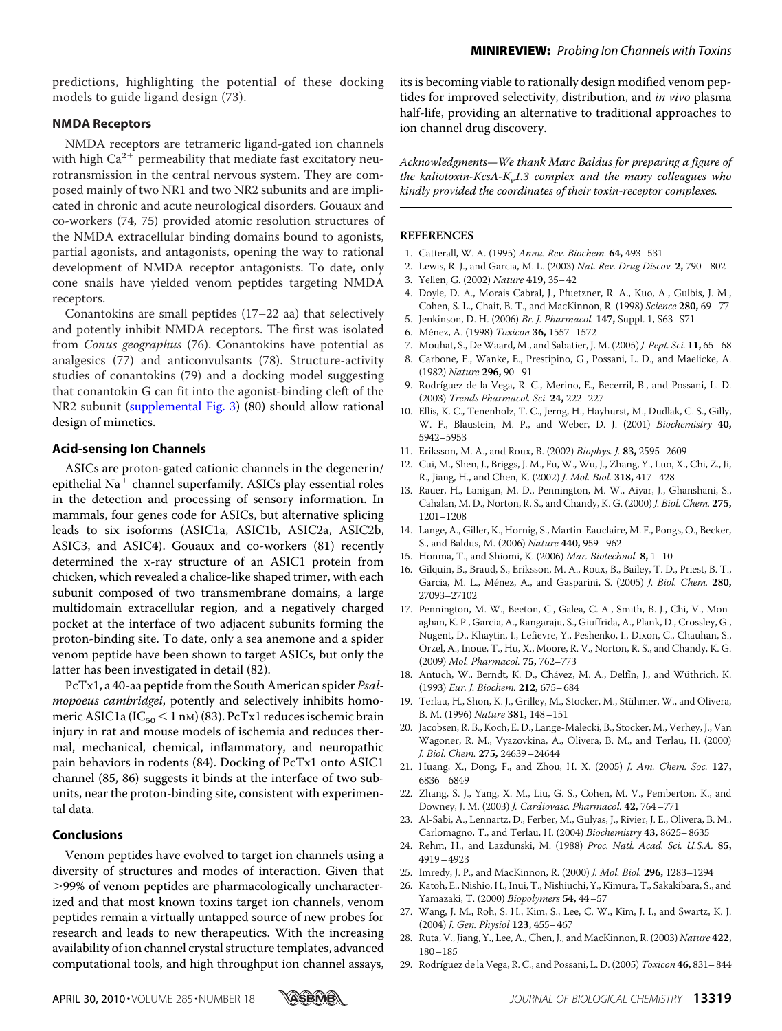predictions, highlighting the potential of these docking models to guide ligand design (73).

#### **NMDA Receptors**

NMDA receptors are tetrameric ligand-gated ion channels with high  $Ca^{2+}$  permeability that mediate fast excitatory neurotransmission in the central nervous system. They are composed mainly of two NR1 and two NR2 subunits and are implicated in chronic and acute neurological disorders. Gouaux and co-workers (74, 75) provided atomic resolution structures of the NMDA extracellular binding domains bound to agonists, partial agonists, and antagonists, opening the way to rational development of NMDA receptor antagonists. To date, only cone snails have yielded venom peptides targeting NMDA receptors.

Conantokins are small peptides (17–22 aa) that selectively and potently inhibit NMDA receptors. The first was isolated from *Conus geographus* (76). Conantokins have potential as analgesics (77) and anticonvulsants (78). Structure-activity studies of conantokins (79) and a docking model suggesting that conantokin G can fit into the agonist-binding cleft of the NR2 subunit [\(supplemental Fig. 3\)](https://doi.org/10.1074/jbc.R109.076596) (80) should allow rational design of mimetics.

## **Acid-sensing Ion Channels**

ASICs are proton-gated cationic channels in the degenerin/ epithelial  $Na<sup>+</sup>$  channel superfamily. ASICs play essential roles in the detection and processing of sensory information. In mammals, four genes code for ASICs, but alternative splicing leads to six isoforms (ASIC1a, ASIC1b, ASIC2a, ASIC2b, ASIC3, and ASIC4). Gouaux and co-workers (81) recently determined the x-ray structure of an ASIC1 protein from chicken, which revealed a chalice-like shaped trimer, with each subunit composed of two transmembrane domains, a large multidomain extracellular region, and a negatively charged pocket at the interface of two adjacent subunits forming the proton-binding site. To date, only a sea anemone and a spider venom peptide have been shown to target ASICs, but only the latter has been investigated in detail (82).

PcTx1, a 40-aa peptide from the South American spider *Psalmopoeus cambridgei*, potently and selectively inhibits homomeric ASIC1a (IC $_{50}$  < 1 nm) (83). PcTx1 reduces ischemic brain injury in rat and mouse models of ischemia and reduces thermal, mechanical, chemical, inflammatory, and neuropathic pain behaviors in rodents (84). Docking of PcTx1 onto ASIC1 channel (85, 86) suggests it binds at the interface of two subunits, near the proton-binding site, consistent with experimental data.

## **Conclusions**

Venom peptides have evolved to target ion channels using a diversity of structures and modes of interaction. Given that -99% of venom peptides are pharmacologically uncharacterized and that most known toxins target ion channels, venom peptides remain a virtually untapped source of new probes for research and leads to new therapeutics. With the increasing availability of ion channel crystal structure templates, advanced computational tools, and high throughput ion channel assays,

its is becoming viable to rationally design modified venom peptides for improved selectivity, distribution, and *in vivo* plasma half-life, providing an alternative to traditional approaches to ion channel drug discovery.

*Acknowledgments—We thank Marc Baldus for preparing a figure of the kaliotoxin-KcsA-K<sub>v</sub>1.3 complex and the many colleagues who kindly provided the coordinates of their toxin-receptor complexes.*

#### **REFERENCES**

- 1. Catterall, W. A. (1995) *Annu. Rev. Biochem.* **64,** 493–531
- 2. Lewis, R. J., and Garcia, M. L. (2003) *Nat. Rev. Drug Discov.* **2,** 790–802
- 3. Yellen, G. (2002) *Nature* **419,** 35–42
- 4. Doyle, D. A., Morais Cabral, J., Pfuetzner, R. A., Kuo, A., Gulbis, J. M., Cohen, S. L., Chait, B. T., and MacKinnon, R. (1998) *Science* **280,** 69–77
- 5. Jenkinson, D. H. (2006) *Br. J. Pharmacol.* **147,** Suppl. 1, S63–S71
- 6. Me´nez, A. (1998) *Toxicon* **36,** 1557–1572
- 7. Mouhat, S., De Waard, M., and Sabatier, J. M. (2005) *J. Pept. Sci.* **11,** 65–68
- 8. Carbone, E., Wanke, E., Prestipino, G., Possani, L. D., and Maelicke, A. (1982) *Nature* **296,** 90–91
- 9. Rodríguez de la Vega, R. C., Merino, E., Becerril, B., and Possani, L. D. (2003) *Trends Pharmacol. Sci.* **24,** 222–227
- 10. Ellis, K. C., Tenenholz, T. C., Jerng, H., Hayhurst, M., Dudlak, C. S., Gilly, W. F., Blaustein, M. P., and Weber, D. J. (2001) *Biochemistry* **40,** 5942–5953
- 11. Eriksson, M. A., and Roux, B. (2002) *Biophys. J.* **83,** 2595–2609
- 12. Cui, M., Shen, J., Briggs, J. M., Fu, W., Wu, J., Zhang, Y., Luo, X., Chi, Z., Ji, R., Jiang, H., and Chen, K. (2002) *J. Mol. Biol.* **318,** 417–428
- 13. Rauer, H., Lanigan, M. D., Pennington, M. W., Aiyar, J., Ghanshani, S., Cahalan, M. D., Norton, R. S., and Chandy, K. G. (2000) *J. Biol. Chem.* **275,** 1201–1208
- 14. Lange, A., Giller, K., Hornig, S., Martin-Eauclaire, M. F., Pongs, O., Becker, S., and Baldus, M. (2006) *Nature* **440,** 959–962
- 15. Honma, T., and Shiomi, K. (2006) *Mar. Biotechnol.* **8,** 1–10
- 16. Gilquin, B., Braud, S., Eriksson, M. A., Roux, B., Bailey, T. D., Priest, B. T., Garcia, M. L., Ménez, A., and Gasparini, S. (2005) *J. Biol. Chem.* 280, 27093–27102
- 17. Pennington, M. W., Beeton, C., Galea, C. A., Smith, B. J., Chi, V., Monaghan, K. P., Garcia, A., Rangaraju, S., Giuffrida, A., Plank, D., Crossley, G., Nugent, D., Khaytin, I., Lefievre, Y., Peshenko, I., Dixon, C., Chauhan, S., Orzel, A., Inoue, T., Hu, X., Moore, R. V., Norton, R. S., and Chandy, K. G. (2009) *Mol. Pharmacol.* **75,** 762–773
- 18. Antuch, W., Berndt, K. D., Chávez, M. A., Delfín, J., and Wüthrich, K. (1993) *Eur. J. Biochem.* **212,** 675–684
- 19. Terlau, H., Shon, K. J., Grilley, M., Stocker, M., Stühmer, W., and Olivera, B. M. (1996) *Nature* **381,** 148–151
- 20. Jacobsen, R. B., Koch, E. D., Lange-Malecki, B., Stocker, M., Verhey, J., Van Wagoner, R. M., Vyazovkina, A., Olivera, B. M., and Terlau, H. (2000) *J. Biol. Chem.* **275,** 24639–24644
- 21. Huang, X., Dong, F., and Zhou, H. X. (2005) *J. Am. Chem. Soc.* **127,** 6836–6849
- 22. Zhang, S. J., Yang, X. M., Liu, G. S., Cohen, M. V., Pemberton, K., and Downey, J. M. (2003) *J. Cardiovasc. Pharmacol.* **42,** 764–771
- 23. Al-Sabi, A., Lennartz, D., Ferber, M., Gulyas, J., Rivier, J. E., Olivera, B. M., Carlomagno, T., and Terlau, H. (2004) *Biochemistry* **43,** 8625–8635
- 24. Rehm, H., and Lazdunski, M. (1988) *Proc. Natl. Acad. Sci. U.S.A.* **85,** 4919–4923
- 25. Imredy, J. P., and MacKinnon, R. (2000) *J. Mol. Biol.* **296,** 1283–1294
- 26. Katoh, E., Nishio, H., Inui, T., Nishiuchi, Y., Kimura, T., Sakakibara, S., and Yamazaki, T. (2000) *Biopolymers* **54,** 44–57
- 27. Wang, J. M., Roh, S. H., Kim, S., Lee, C. W., Kim, J. I., and Swartz, K. J. (2004) *J. Gen. Physiol* **123,** 455–467
- 28. Ruta, V., Jiang, Y., Lee, A., Chen, J., and MacKinnon, R. (2003) *Nature* **422,** 180–185
- 29. Rodríguez de la Vega, R. C., and Possani, L. D. (2005) *Toxicon* **46,** 831–844